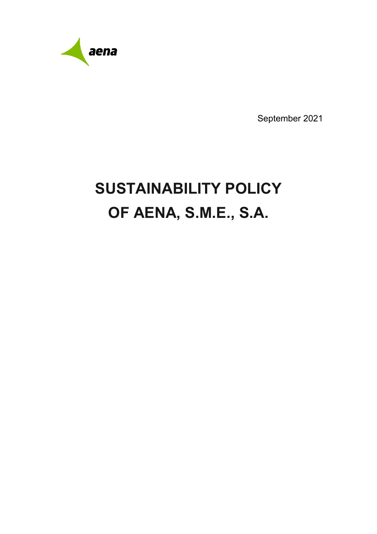

September 2021

# **SUSTAINABILITY POLICY OF AENA, S.M.E., S.A.**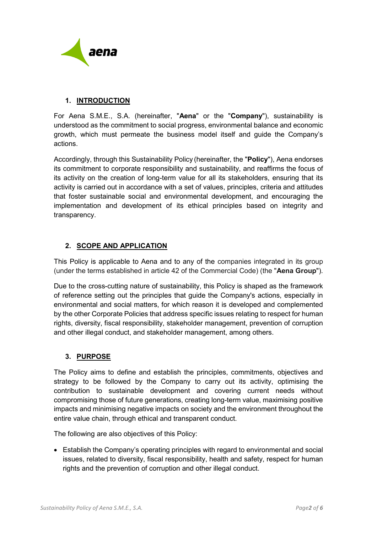

### **1. INTRODUCTION**

For Aena S.M.E., S.A. (hereinafter, "**Aena**" or the "**Company**"), sustainability is understood as the commitment to social progress, environmental balance and economic growth, which must permeate the business model itself and guide the Company's actions.

Accordingly, through this Sustainability Policy (hereinafter, the "**Policy**"), Aena endorses its commitment to corporate responsibility and sustainability, and reaffirms the focus of its activity on the creation of long-term value for all its stakeholders, ensuring that its activity is carried out in accordance with a set of values, principles, criteria and attitudes that foster sustainable social and environmental development, and encouraging the implementation and development of its ethical principles based on integrity and transparency.

## **2. SCOPE AND APPLICATION**

This Policy is applicable to Aena and to any of the companies integrated in its group (under the terms established in article 42 of the Commercial Code) (the "**Aena Group**").

Due to the cross-cutting nature of sustainability, this Policy is shaped as the framework of reference setting out the principles that guide the Company's actions, especially in environmental and social matters, for which reason it is developed and complemented by the other Corporate Policies that address specific issues relating to respect for human rights, diversity, fiscal responsibility, stakeholder management, prevention of corruption and other illegal conduct, and stakeholder management, among others.

## **3. PURPOSE**

The Policy aims to define and establish the principles, commitments, objectives and strategy to be followed by the Company to carry out its activity, optimising the contribution to sustainable development and covering current needs without compromising those of future generations, creating long-term value, maximising positive impacts and minimising negative impacts on society and the environment throughout the entire value chain, through ethical and transparent conduct.

The following are also objectives of this Policy:

• Establish the Company's operating principles with regard to environmental and social issues, related to diversity, fiscal responsibility, health and safety, respect for human rights and the prevention of corruption and other illegal conduct.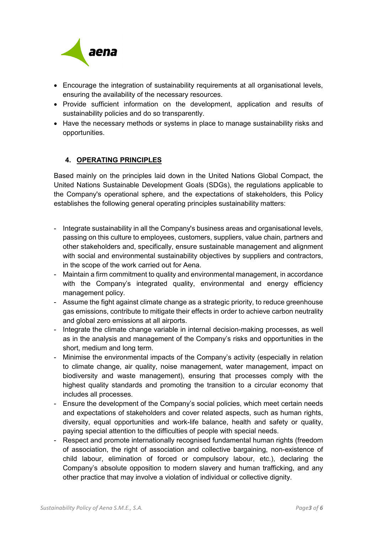

- Encourage the integration of sustainability requirements at all organisational levels, ensuring the availability of the necessary resources.
- Provide sufficient information on the development, application and results of sustainability policies and do so transparently.
- Have the necessary methods or systems in place to manage sustainability risks and opportunities.

## **4. OPERATING PRINCIPLES**

Based mainly on the principles laid down in the United Nations Global Compact, the United Nations Sustainable Development Goals (SDGs), the regulations applicable to the Company's operational sphere, and the expectations of stakeholders, this Policy establishes the following general operating principles sustainability matters:

- Integrate sustainability in all the Company's business areas and organisational levels, passing on this culture to employees, customers, suppliers, value chain, partners and other stakeholders and, specifically, ensure sustainable management and alignment with social and environmental sustainability objectives by suppliers and contractors, in the scope of the work carried out for Aena.
- Maintain a firm commitment to quality and environmental management, in accordance with the Company's integrated quality, environmental and energy efficiency management policy.
- Assume the fight against climate change as a strategic priority, to reduce greenhouse gas emissions, contribute to mitigate their effects in order to achieve carbon neutrality and global zero emissions at all airports.
- Integrate the climate change variable in internal decision-making processes, as well as in the analysis and management of the Company's risks and opportunities in the short, medium and long term.
- Minimise the environmental impacts of the Company's activity (especially in relation to climate change, air quality, noise management, water management, impact on biodiversity and waste management), ensuring that processes comply with the highest quality standards and promoting the transition to a circular economy that includes all processes.
- Ensure the development of the Company's social policies, which meet certain needs and expectations of stakeholders and cover related aspects, such as human rights, diversity, equal opportunities and work-life balance, health and safety or quality, paying special attention to the difficulties of people with special needs.
- Respect and promote internationally recognised fundamental human rights (freedom of association, the right of association and collective bargaining, non-existence of child labour, elimination of forced or compulsory labour, etc.), declaring the Company's absolute opposition to modern slavery and human trafficking, and any other practice that may involve a violation of individual or collective dignity.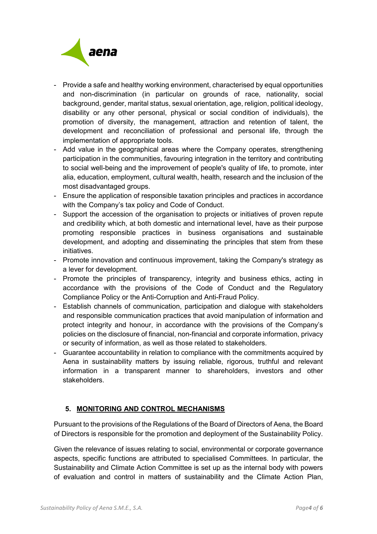

- Provide a safe and healthy working environment, characterised by equal opportunities and non-discrimination (in particular on grounds of race, nationality, social background, gender, marital status, sexual orientation, age, religion, political ideology, disability or any other personal, physical or social condition of individuals), the promotion of diversity, the management, attraction and retention of talent, the development and reconciliation of professional and personal life, through the implementation of appropriate tools.
- Add value in the geographical areas where the Company operates, strengthening participation in the communities, favouring integration in the territory and contributing to social well-being and the improvement of people's quality of life, to promote, inter alia, education, employment, cultural wealth, health, research and the inclusion of the most disadvantaged groups.
- Ensure the application of responsible taxation principles and practices in accordance with the Company's tax policy and Code of Conduct.
- Support the accession of the organisation to projects or initiatives of proven repute and credibility which, at both domestic and international level, have as their purpose promoting responsible practices in business organisations and sustainable development, and adopting and disseminating the principles that stem from these initiatives.
- Promote innovation and continuous improvement, taking the Company's strategy as a lever for development.
- Promote the principles of transparency, integrity and business ethics, acting in accordance with the provisions of the Code of Conduct and the Regulatory Compliance Policy or the Anti-Corruption and Anti-Fraud Policy.
- Establish channels of communication, participation and dialogue with stakeholders and responsible communication practices that avoid manipulation of information and protect integrity and honour, in accordance with the provisions of the Company's policies on the disclosure of financial, non-financial and corporate information, privacy or security of information, as well as those related to stakeholders.
- Guarantee accountability in relation to compliance with the commitments acquired by Aena in sustainability matters by issuing reliable, rigorous, truthful and relevant information in a transparent manner to shareholders, investors and other stakeholders.

## **5. MONITORING AND CONTROL MECHANISMS**

Pursuant to the provisions of the Regulations of the Board of Directors of Aena, the Board of Directors is responsible for the promotion and deployment of the Sustainability Policy.

Given the relevance of issues relating to social, environmental or corporate governance aspects, specific functions are attributed to specialised Committees. In particular, the Sustainability and Climate Action Committee is set up as the internal body with powers of evaluation and control in matters of sustainability and the Climate Action Plan,